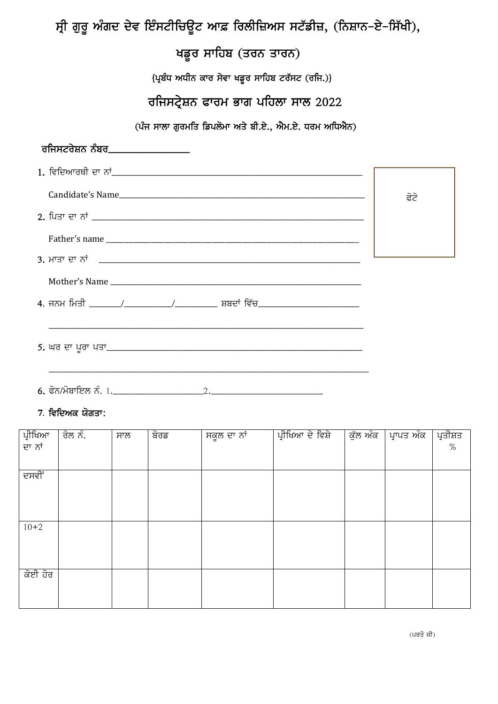# ਸ੍ਰੀ ਗੁਰੂ ਅੰਗਦ ਦੇਵ ਇੰਸਟੀਚਿਊਟ ਆਫ਼ ਰਿਲੀਜ਼ਿਅਸ ਸਟੱਡੀਜ਼, (ਨਿਸ਼ਾਨ–ਏ–ਸਿੱਖੀ),

## ਖਡੂਰ ਸਾਹਿਬ (ਤਰਨ ਤਾਰਨ)

{ਪ੍ਰਬੰਧ ਅਧੀਨ ਕਾਰ ਸੇਵਾ ਖਡੁਰ ਸਾਹਿਬ ਟਰੱਸਟ (ਰਜਿ.)}

### ਰਜਿਸਟ੍ਰੇਸ਼ਨ ਫਾਰਮ ਭਾਗ ਪਹਿਲਾ ਸਾਲ 2022

(ਪੰਜ ਸਾਲਾ ਗੁਰਮਤਿ ਡਿਪਲੋਮਾ ਅਤੇ ਬੀ.ਏ., ਐਮ.ਏ. ਧਰਮ ਅਧਿਐਨ)

| ਰਜਿਸਟਰੇਸ਼ਨ ਨੰਬਰ_________________ |      |
|----------------------------------|------|
|                                  |      |
|                                  | ਫੋਟੋ |
|                                  |      |
|                                  |      |
|                                  |      |
|                                  |      |
|                                  |      |
|                                  |      |
|                                  |      |
|                                  |      |
|                                  |      |

#### 7. ਵਿਦਿਅਕ ਯੋਗਤਾ:

| ਪ੍ਰੀਖਿਆ | ਰੋਲ ਨੰ. | ਸਾਲ | ਬੋਰਡ | ਸਕੂਲ ਦਾ ਨਾਂ | ਪ੍ਰੀਖਿਆ ਦੇ ਵਿਸ਼ੇ | ਕੁੱਲ ਅੰਕ | ਪ੍ਰਾਪਤ ਅੰਕ | ਪ੍ਰਤੀਸ਼ਤ<br>% |
|---------|---------|-----|------|-------------|------------------|----------|------------|---------------|
| ਦਾ ਨਾਂ  |         |     |      |             |                  |          |            |               |
|         |         |     |      |             |                  |          |            |               |
| ਦਸਵੀਂ   |         |     |      |             |                  |          |            |               |
|         |         |     |      |             |                  |          |            |               |
|         |         |     |      |             |                  |          |            |               |
| $10+2$  |         |     |      |             |                  |          |            |               |
|         |         |     |      |             |                  |          |            |               |
|         |         |     |      |             |                  |          |            |               |
|         |         |     |      |             |                  |          |            |               |
| ਕੋਈ ਹੋਰ |         |     |      |             |                  |          |            |               |
|         |         |     |      |             |                  |          |            |               |
|         |         |     |      |             |                  |          |            |               |